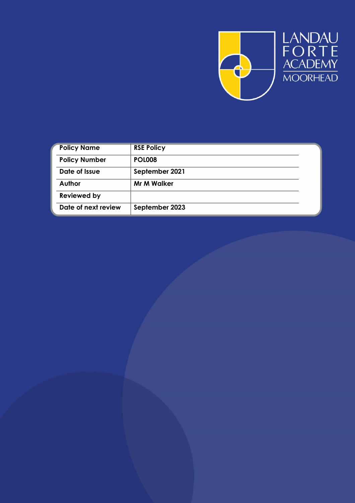

| <b>Policy Name</b>   | <b>RSE Policy</b>  |
|----------------------|--------------------|
| <b>Policy Number</b> | <b>POL008</b>      |
| Date of Issue        | September 2021     |
| Author               | <b>Mr M Walker</b> |
| <b>Reviewed by</b>   |                    |
| Date of next review  | September 2023     |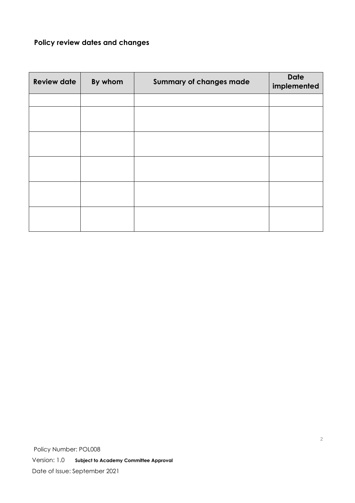#### **Policy review dates and changes**

| <b>Review date</b> | By whom | <b>Summary of changes made</b> | <b>Date</b><br>implemented |
|--------------------|---------|--------------------------------|----------------------------|
|                    |         |                                |                            |
|                    |         |                                |                            |
|                    |         |                                |                            |
|                    |         |                                |                            |
|                    |         |                                |                            |
|                    |         |                                |                            |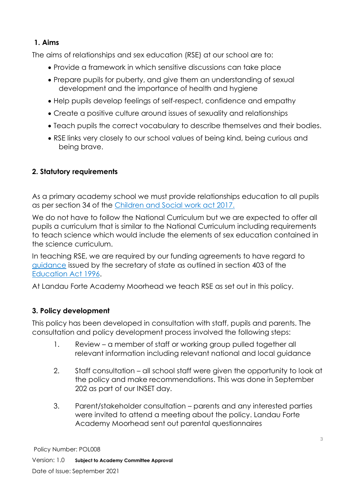### **1. Aims**

The aims of relationships and sex education (RSE) at our school are to:

- Provide a framework in which sensitive discussions can take place
- Prepare pupils for puberty, and give them an understanding of sexual development and the importance of health and hygiene
- Help pupils develop feelings of self-respect, confidence and empathy
- Create a positive culture around issues of sexuality and relationships
- Teach pupils the correct vocabulary to describe themselves and their bodies.
- RSE links very closely to our school values of being kind, being curious and being brave.

## **2. Statutory requirements**

As a primary academy school we must provide relationships education to all pupils as per section 34 of the [Children and Social work act 2017.](http://www.legislation.gov.uk/ukpga/2017/16/section/34/enacted)

We do not have to follow the National Curriculum but we are expected to offer all pupils a curriculum that is similar to the National Curriculum including requirements to teach science which would include the elements of sex education contained in the science curriculum.

In teaching RSE, we are required by our funding agreements to have regard to [guidance](https://www.gov.uk/government/consultations/relationships-and-sex-education-and-health-education) issued by the secretary of state as outlined in section 403 of the [Education Act 1996.](http://www.legislation.gov.uk/ukpga/1996/56/contents)

At Landau Forte Academy Moorhead we teach RSE as set out in this policy.

# **3. Policy development**

This policy has been developed in consultation with staff, pupils and parents. The consultation and policy development process involved the following steps:

- 1. Review a member of staff or working group pulled together all relevant information including relevant national and local guidance
- 2. Staff consultation all school staff were given the opportunity to look at the policy and make recommendations. This was done in September 202 as part of our INSET day.
- 3. Parent/stakeholder consultation parents and any interested parties were invited to attend a meeting about the policy. Landau Forte Academy Moorhead sent out parental questionnaires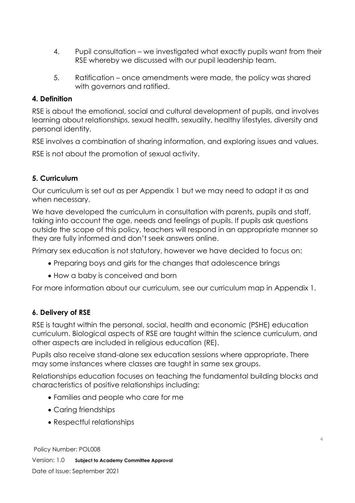- 4. Pupil consultation we investigated what exactly pupils want from their RSE whereby we discussed with our pupil leadership team.
- 5. Ratification once amendments were made, the policy was shared with governors and ratified.

#### **4. Definition**

RSE is about the emotional, social and cultural development of pupils, and involves learning about relationships, sexual health, sexuality, healthy lifestyles, diversity and personal identity.

RSE involves a combination of sharing information, and exploring issues and values.

RSE is not about the promotion of sexual activity.

#### **5. Curriculum**

Our curriculum is set out as per Appendix 1 but we may need to adapt it as and when necessary.

We have developed the curriculum in consultation with parents, pupils and staff, taking into account the age, needs and feelings of pupils. If pupils ask questions outside the scope of this policy, teachers will respond in an appropriate manner so they are fully informed and don't seek answers online.

Primary sex education is not statutory, however we have decided to focus on:

- Preparing boys and girls for the changes that adolescence brings
- How a baby is conceived and born

For more information about our curriculum, see our curriculum map in Appendix 1.

### **6. Delivery of RSE**

RSE is taught within the personal, social, health and economic (PSHE) education curriculum. Biological aspects of RSE are taught within the science curriculum, and other aspects are included in religious education (RE).

Pupils also receive stand-alone sex education sessions where appropriate. There may some instances where classes are taught in same sex groups.

Relationships education focuses on teaching the fundamental building blocks and characteristics of positive relationships including:

- Families and people who care for me
- Caring friendships
- Respectful relationships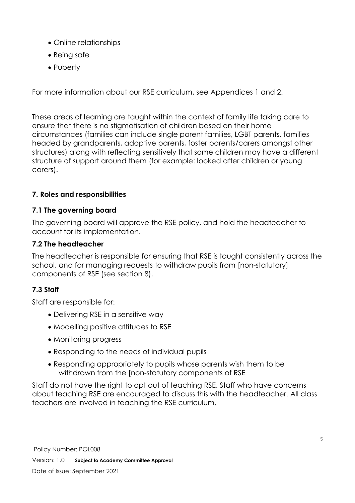- Online relationships
- Being safe
- Puberty

For more information about our RSE curriculum, see Appendices 1 and 2.

These areas of learning are taught within the context of family life taking care to ensure that there is no stigmatisation of children based on their home circumstances (families can include single parent families, LGBT parents, families headed by grandparents, adoptive parents, foster parents/carers amongst other structures) along with reflecting sensitively that some children may have a different structure of support around them (for example: looked after children or young carers).

## **7. Roles and responsibilities**

### **7.1 The governing board**

The governing board will approve the RSE policy, and hold the headteacher to account for its implementation.

## **7.2 The headteacher**

The headteacher is responsible for ensuring that RSE is taught consistently across the school, and for managing requests to withdraw pupils from [non-statutory] components of RSE (see section 8).

# **7.3 Staff**

Staff are responsible for:

- Delivering RSE in a sensitive way
- Modelling positive attitudes to RSE
- Monitoring progress
- Responding to the needs of individual pupils
- Responding appropriately to pupils whose parents wish them to be withdrawn from the [non-statutory components of RSE

Staff do not have the right to opt out of teaching RSE. Staff who have concerns about teaching RSE are encouraged to discuss this with the headteacher. All class teachers are involved in teaching the RSE curriculum.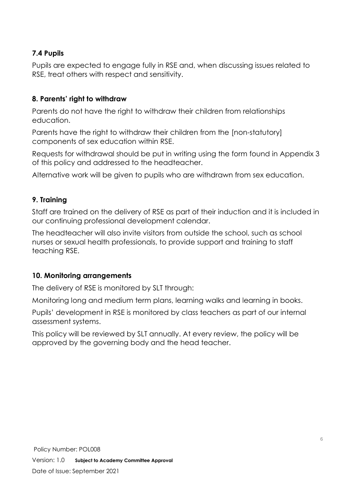### **7.4 Pupils**

Pupils are expected to engage fully in RSE and, when discussing issues related to RSE, treat others with respect and sensitivity.

### **8. Parents' right to withdraw**

Parents do not have the right to withdraw their children from relationships education.

Parents have the right to withdraw their children from the [non-statutory] components of sex education within RSE.

Requests for withdrawal should be put in writing using the form found in Appendix 3 of this policy and addressed to the headteacher.

Alternative work will be given to pupils who are withdrawn from sex education.

#### **9. Training**

Staff are trained on the delivery of RSE as part of their induction and it is included in our continuing professional development calendar.

The headteacher will also invite visitors from outside the school, such as school nurses or sexual health professionals, to provide support and training to staff teaching RSE.

#### **10. Monitoring arrangements**

The delivery of RSE is monitored by SLT through:

Monitoring long and medium term plans, learning walks and learning in books.

Pupils' development in RSE is monitored by class teachers as part of our internal assessment systems.

This policy will be reviewed by SLT annually. At every review, the policy will be approved by the governing body and the head teacher.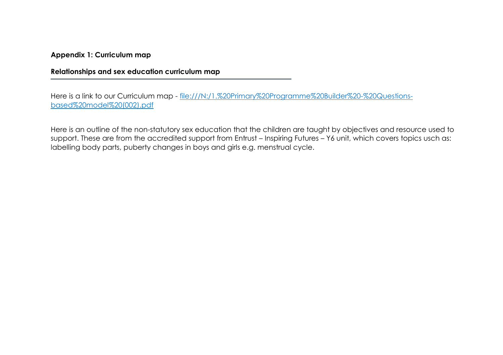**Appendix 1: Curriculum map**

**Relationships and sex education curriculum map**

Here is a link to our Curriculum map - [file:///N:/1.%20Primary%20Programme%20Builder%20-%20Questions](file://///lfadm-sr-001/SBLAIR$/1.%20Primary%20Programme%20Builder%20-%20Questions-based%20model%20(002).pdf)[based%20model%20\(002\).pdf](file://///lfadm-sr-001/SBLAIR$/1.%20Primary%20Programme%20Builder%20-%20Questions-based%20model%20(002).pdf)

Here is an outline of the non-statutory sex education that the children are taught by objectives and resource used to support. These are from the accredited support from Entrust – Inspiring Futures – Y6 unit, which covers topics usch as: labelling body parts, puberty changes in boys and girls e.g. menstrual cycle.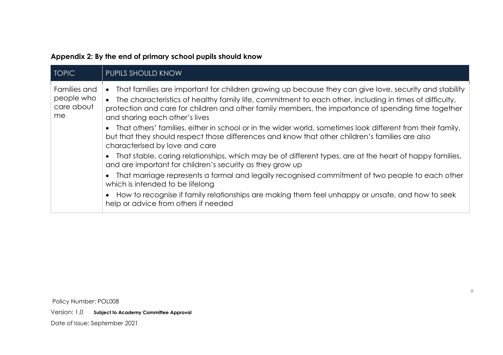| Appendix 2: By the end of primary school pupils should know |  |  |  |  |
|-------------------------------------------------------------|--|--|--|--|
|                                                             |  |  |  |  |

| <b>TOPIC</b>                                   | PUPILS SHOULD KNOW                                                                                                                                                                                                                                                                                                                                         |
|------------------------------------------------|------------------------------------------------------------------------------------------------------------------------------------------------------------------------------------------------------------------------------------------------------------------------------------------------------------------------------------------------------------|
| Families and<br>people who<br>care about<br>me | That families are important for children growing up because they can give love, security and stability<br>The characteristics of healthy family life, commitment to each other, including in times of difficulty,<br>protection and care for children and other family members, the importance of spending time together<br>and sharing each other's lives |
|                                                | That others' families, either in school or in the wider world, sometimes look different from their family,<br>but that they should respect those differences and know that other children's families are also<br>characterised by love and care                                                                                                            |
|                                                | That stable, caring relationships, which may be of different types, are at the heart of happy families,<br>and are important for children's security as they grow up                                                                                                                                                                                       |
|                                                | That marriage represents a formal and legally recognised commitment of two people to each other<br>which is intended to be lifelong                                                                                                                                                                                                                        |
|                                                | How to recognise if family relationships are making them feel unhappy or unsafe, and how to seek<br>help or advice from others if needed                                                                                                                                                                                                                   |

Policy Number: POL008

Version: 1.0 **Subject to Academy Committee Approval**

Date of Issue: September 2021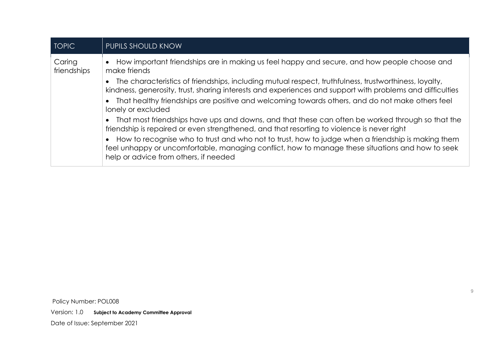| <b>TOPIC</b>          | PUPILS SHOULD KNOW                                                                                                                                                                                                                             |
|-----------------------|------------------------------------------------------------------------------------------------------------------------------------------------------------------------------------------------------------------------------------------------|
| Caring<br>friendships | How important friendships are in making us feel happy and secure, and how people choose and<br>make friends                                                                                                                                    |
|                       | The characteristics of friendships, including mutual respect, truthfulness, trustworthiness, loyalty,<br>kindness, generosity, trust, sharing interests and experiences and support with problems and difficulties                             |
|                       | That healthy friendships are positive and welcoming towards others, and do not make others feel<br>lonely or excluded                                                                                                                          |
|                       | That most friendships have ups and downs, and that these can often be worked through so that the<br>friendship is repaired or even strengthened, and that resorting to violence is never right                                                 |
|                       | How to recognise who to trust and who not to trust, how to judge when a friendship is making them<br>feel unhappy or uncomfortable, managing conflict, how to manage these situations and how to seek<br>help or advice from others, if needed |

Policy Number: POL008 Version: 1.0 **Subject to Academy Committee Approval** Date of Issue: September 2021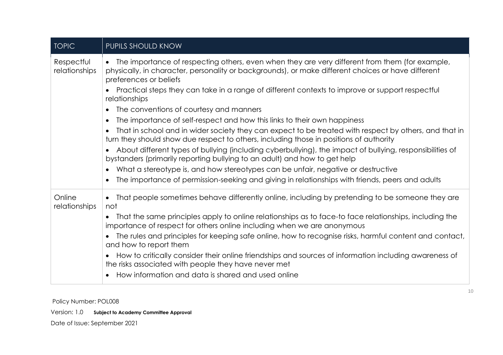| <b>TOPIC</b>                | PUPILS SHOULD KNOW                                                                                                                                                                                                               |
|-----------------------------|----------------------------------------------------------------------------------------------------------------------------------------------------------------------------------------------------------------------------------|
| Respectful<br>relationships | • The importance of respecting others, even when they are very different from them (for example,<br>physically, in character, personality or backgrounds), or make different choices or have different<br>preferences or beliefs |
|                             | Practical steps they can take in a range of different contexts to improve or support respectful<br>relationships                                                                                                                 |
|                             | The conventions of courtesy and manners                                                                                                                                                                                          |
|                             | The importance of self-respect and how this links to their own happiness<br>$\bullet$                                                                                                                                            |
|                             | That in school and in wider society they can expect to be treated with respect by others, and that in<br>turn they should show due respect to others, including those in positions of authority                                  |
|                             | About different types of bullying (including cyberbullying), the impact of bullying, responsibilities of<br>bystanders (primarily reporting bullying to an adult) and how to get help                                            |
|                             | What a stereotype is, and how stereotypes can be unfair, negative or destructive                                                                                                                                                 |
|                             | The importance of permission-seeking and giving in relationships with friends, peers and adults                                                                                                                                  |
| Online<br>relationships     | That people sometimes behave differently online, including by pretending to be someone they are<br>$\bullet$<br>not                                                                                                              |
|                             | That the same principles apply to online relationships as to face-to face relationships, including the<br>importance of respect for others online including when we are anonymous                                                |
|                             | The rules and principles for keeping safe online, how to recognise risks, harmful content and contact,<br>and how to report them                                                                                                 |
|                             | How to critically consider their online friendships and sources of information including awareness of<br>the risks associated with people they have never met                                                                    |
|                             | How information and data is shared and used online                                                                                                                                                                               |

Policy Number: POL008

Version: 1.0 **Subject to Academy Committee Approval**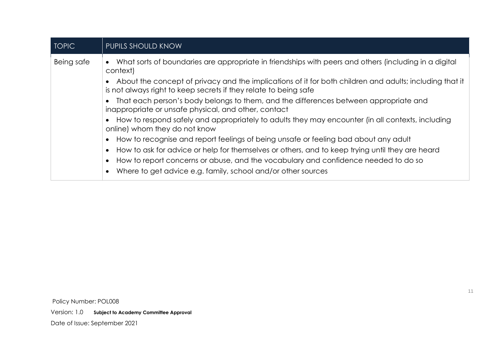| <b>TOPIC</b> | PUPILS SHOULD KNOW                                                                                                                                                          |
|--------------|-----------------------------------------------------------------------------------------------------------------------------------------------------------------------------|
| Being safe   | What sorts of boundaries are appropriate in friendships with peers and others (including in a digital<br>context)                                                           |
|              | About the concept of privacy and the implications of it for both children and adults; including that it<br>is not always right to keep secrets if they relate to being safe |
|              | That each person's body belongs to them, and the differences between appropriate and<br>inappropriate or unsafe physical, and other, contact                                |
|              | How to respond safely and appropriately to adults they may encounter (in all contexts, including<br>online) whom they do not know                                           |
|              | How to recognise and report feelings of being unsafe or feeling bad about any adult                                                                                         |
|              | How to ask for advice or help for themselves or others, and to keep trying until they are heard                                                                             |
|              | How to report concerns or abuse, and the vocabulary and confidence needed to do so                                                                                          |
|              | Where to get advice e.g. family, school and/or other sources                                                                                                                |

Policy Number: POL008 Version: 1.0 **Subject to Academy Committee Approval** Date of Issue: September 2021